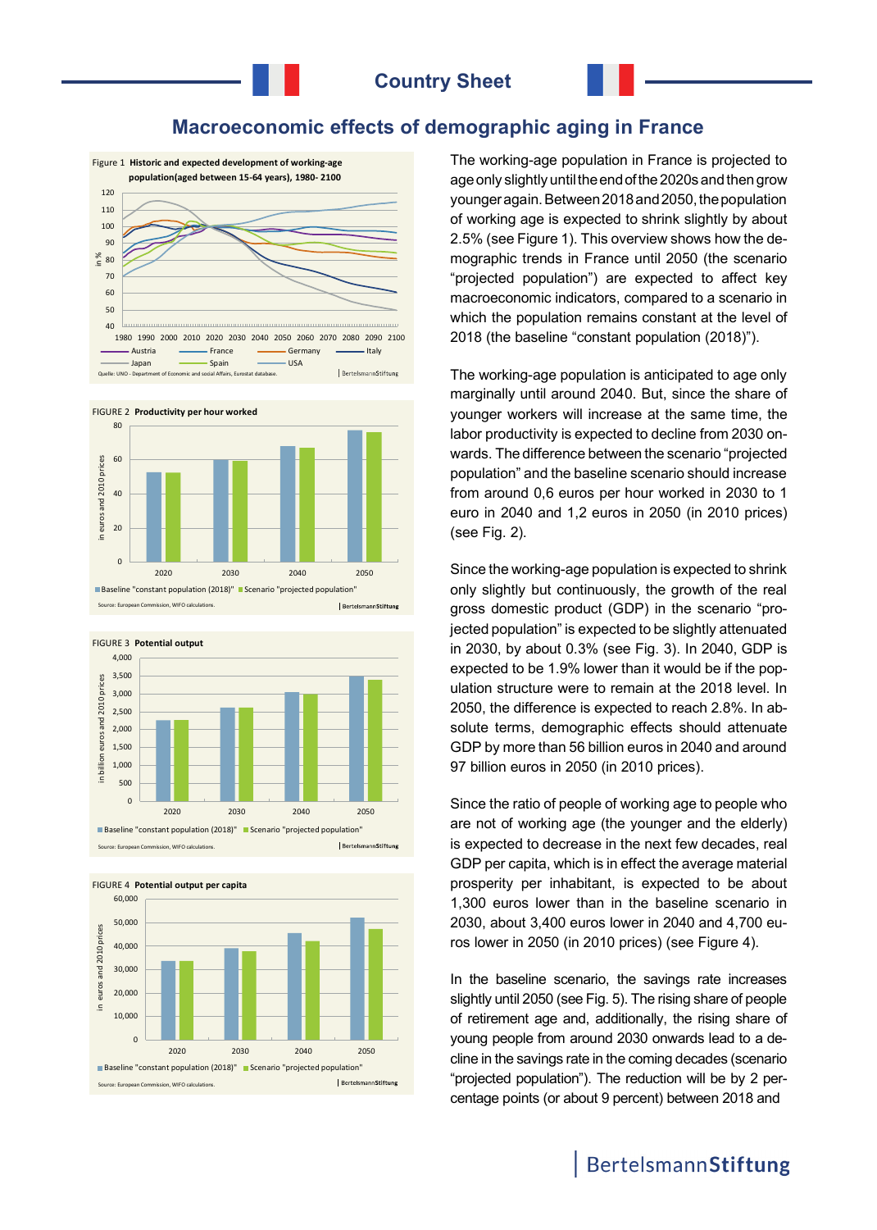## **Macroeconomic effects of demographic aging in France**







BertelsmannStiftun Source: European Commission, WIFO calculations.





The working-age population in France is projected to age only slightly until the end of the 2020s and then grow younger again. Between 2018 and 2050, the population of working age is expected to shrink slightly by about 2.5% (see Figure 1). This overview shows how the demographic trends in France until 2050 (the scenario "projected population") are expected to affect key macroeconomic indicators, compared to a scenario in which the population remains constant at the level of 2018 (the baseline "constant population (2018)").

The working-age population is anticipated to age only marginally until around 2040. But, since the share of younger workers will increase at the same time, the labor productivity is expected to decline from 2030 onwards. The difference between the scenario "projected population" and the baseline scenario should increase from around 0,6 euros per hour worked in 2030 to 1 euro in 2040 and 1,2 euros in 2050 (in 2010 prices) (see Fig. 2).

Since the working-age population is expected to shrink only slightly but continuously, the growth of the real gross domestic product (GDP) in the scenario "projected population" is expected to be slightly attenuated in 2030, by about 0.3% (see Fig. 3). In 2040, GDP is expected to be 1.9% lower than it would be if the population structure were to remain at the 2018 level. In 2050, the difference is expected to reach 2.8%. In absolute terms, demographic effects should attenuate GDP by more than 56 billion euros in 2040 and around 97 billion euros in 2050 (in 2010 prices).

Since the ratio of people of working age to people who are not of working age (the younger and the elderly) is expected to decrease in the next few decades, real GDP per capita, which is in effect the average material prosperity per inhabitant, is expected to be about 1,300 euros lower than in the baseline scenario in 2030, about 3,400 euros lower in 2040 and 4,700 euros lower in 2050 (in 2010 prices) (see Figure 4).

In the baseline scenario, the savings rate increases slightly until 2050 (see Fig. 5). The rising share of people of retirement age and, additionally, the rising share of young people from around 2030 onwards lead to a decline in the savings rate in the coming decades (scenario "projected population"). The reduction will be by 2 percentage points (or about 9 percent) between 2018 and